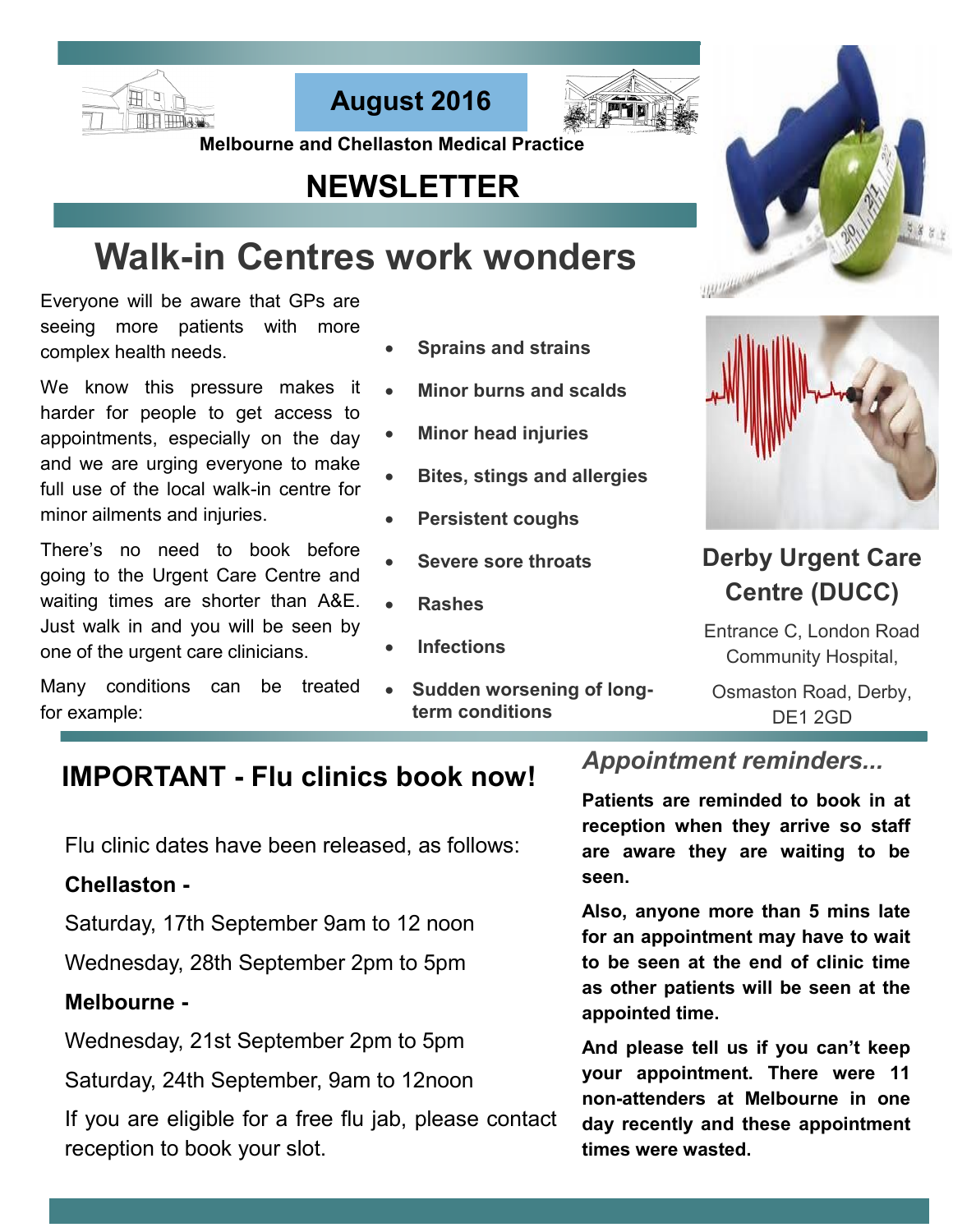





 **Melbourne and Chellaston Medical Practice** 

## **NEWSLETTER**

# **Walk-in Centres work wonders**

Everyone will be aware that GPs are seeing more patients with more complex health needs.

We know this pressure makes it harder for people to get access to appointments, especially on the day and we are urging everyone to make full use of the local walk-in centre for minor ailments and injuries.

There's no need to book before going to the Urgent Care Centre and waiting times are shorter than A&E. Just walk in and you will be seen by one of the urgent care clinicians.

Many conditions can be treated for example:

- **Sprains and strains**
- **Minor burns and scalds**
- **Minor head injuries**
- **Bites, stings and allergies**
- **Persistent coughs**
- **Severe sore throats**
- **Rashes**
- **Infections**
- **Sudden worsening of longterm conditions**





## **Derby Urgent Care Centre (DUCC)**

Entrance C, London Road Community Hospital,

Osmaston Road, Derby, DE1 2GD

## **IMPORTANT - Flu clinics book now!**

Flu clinic dates have been released, as follows:

## **Chellaston -**

Saturday, 17th September 9am to 12 noon

Wednesday, 28th September 2pm to 5pm

## **Melbourne -**

Wednesday, 21st September 2pm to 5pm

Saturday, 24th September, 9am to 12noon

If you are eligible for a free flu jab, please contact reception to book your slot.

## *Appointment reminders...*

**Patients are reminded to book in at reception when they arrive so staff are aware they are waiting to be seen.**

**Also, anyone more than 5 mins late for an appointment may have to wait to be seen at the end of clinic time as other patients will be seen at the appointed time.**

**And please tell us if you can't keep your appointment. There were 11 non-attenders at Melbourne in one day recently and these appointment times were wasted.**